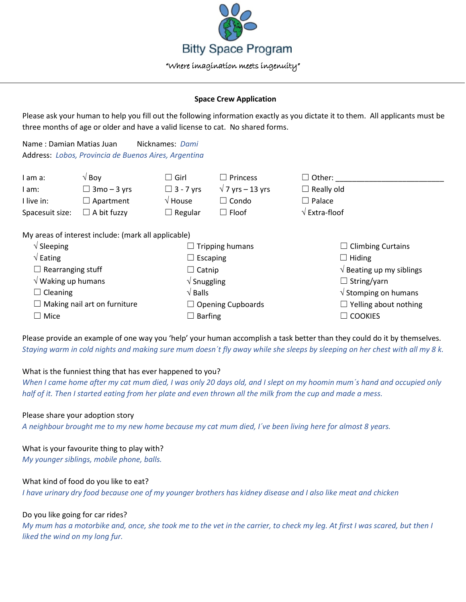

#### **Space Crew Application**

Please ask your human to help you fill out the following information exactly as you dictate it to them. All applicants must be three months of age or older and have a valid license to cat. No shared forms.

Name : Damian Matias Juan Nicknames: *Dami* Address: *Lobos, Provincia de Buenos Aires, Argentina*

| I am a:         | √ Bov              | $\sqcup$ Girl $\sqcup$ | $\Box$ Princess         | $\Box$ Other:                              |
|-----------------|--------------------|------------------------|-------------------------|--------------------------------------------|
| I am:           | $\Box$ 3mo – 3 yrs | $\Box$ 3 - 7 vrs       | $\sqrt{7}$ yrs – 13 yrs | $\Box$ Really old                          |
| I live in:      | $\Box$ Apartment   | $\sqrt{ }$ House       | ∟ Condo                 | $\Box$ Palace                              |
| Spacesuit size: | $\Box$ A bit fuzzy | $\Box$ Regular         | $\sqsupset$ Floof       | $\sqrt{\mathsf{Extra}\cdot\mathsf{floor}}$ |

My areas of interest include: (mark all applicable)

| $\sqrt{\phantom{a}}$ Sleeping       | $\Box$ Tripping humans         |                                           |
|-------------------------------------|--------------------------------|-------------------------------------------|
| $\sqrt{\mathsf{Eating}}$            | $\Box$ Escaping                | $\Box$ Hiding                             |
| $\Box$ Rearranging stuff            | $\Box$ Catnip                  | $\sqrt{ }$ Beating up my siblings         |
| $\sqrt{}$ Waking up humans          | $\sqrt{\frac{1}{1}}$ Snuggling | $\Box$ String/yarn                        |
| $\Box$ Cleaning                     | $\sqrt{B}$ alls                | $\sqrt{\frac{1}{100}}$ Stomping on humans |
| $\Box$ Making nail art on furniture | $\Box$ Opening Cupboards       | $\Box$ Yelling about nothing              |
| $\Box$ Mice<br>$\Box$ Barfing       |                                | $\Box$ COOKIES                            |

Please provide an example of one way you 'help' your human accomplish a task better than they could do it by themselves. *Staying warm in cold nights and making sure mum doesn´t fly away while she sleeps by sleeping on her chest with all my 8 k.*

## What is the funniest thing that has ever happened to you?

*When I came home after my cat mum died, I was only 20 days old, and I slept on my hoomin mum´s hand and occupied only half of it. Then I started eating from her plate and even thrown all the milk from the cup and made a mess.*

## Please share your adoption story

*A neighbour brought me to my new home because my cat mum died, I´ve been living here for almost 8 years.*

# What is your favourite thing to play with?

*My younger siblings, mobile phone, balls.*

## What kind of food do you like to eat?

*I have urinary dry food because one of my younger brothers has kidney disease and I also like meat and chicken*

## Do you like going for car rides?

*My mum has a motorbike and, once, she took me to the vet in the carrier, to check my leg. At first I was scared, but then I liked the wind on my long fur.*